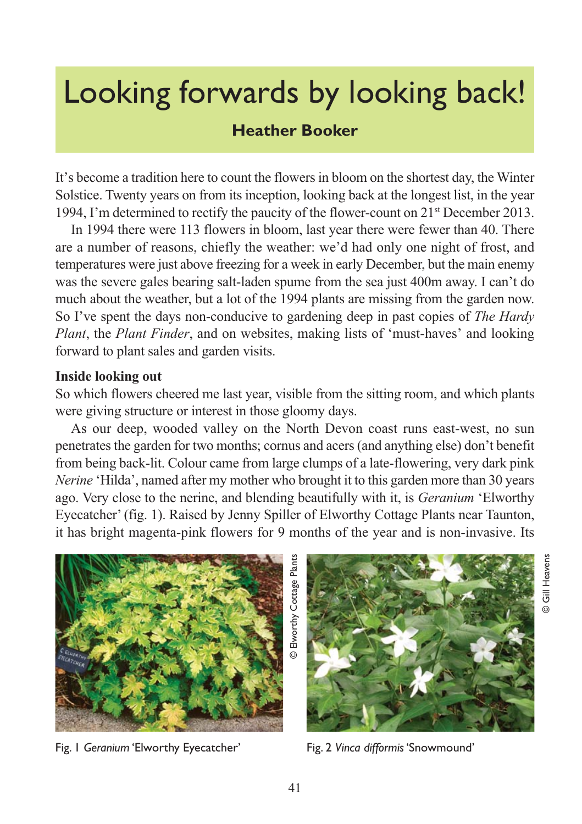# Looking forwards by looking back!

## **Heather Booker**

It's become a tradition here to count the flowers in bloom on the shortest day, the Winter Solstice. Twenty years on from its inception, looking back at the longest list, in the year 1994, I'm determined to rectify the paucity of the flower-count on  $21<sup>st</sup>$  December 2013.

In 1994 there were 113 flowers in bloom, last year there were fewer than 40. There are a number of reasons, chiefly the weather: we'd had only one night of frost, and temperatures were just above freezing for a week in early December, but the main enemy was the severe gales bearing salt-laden spume from the sea just 400m away. I can't do much about the weather, but a lot of the 1994 plants are missing from the garden now. So I've spent the days non-conducive to gardening deep in past copies of *The Hardy Plant*, the *Plant Finder*, and on websites, making lists of 'must-haves' and looking forward to plant sales and garden visits.

#### **Inside looking out**

So which flowers cheered me last year, visible from the sitting room, and which plants were giving structure or interest in those gloomy days.

As our deep, wooded valley on the North Devon coast runs east-west, no sun penetrates the garden for two months; cornus and acers (and anything else) don't benefit from being back-lit. Colour came from large clumps of a late-flowering, very dark pink *Nerine* 'Hilda', named after my mother who brought it to this garden more than 30 years ago. Very close to the nerine, and blending beautifully with it, is *Geranium* 'Elworthy Eyecatcher' (fig. 1). Raised by Jenny Spiller of Elworthy Cottage Plants near Taunton, it has bright magenta-pink flowers for 9 months of the year and is non-invasive. Its



Fig. 1 *Geranium* 'Elworthy Eyecatcher' Fig. 2 *Vinca difformis* 'Snowmound'

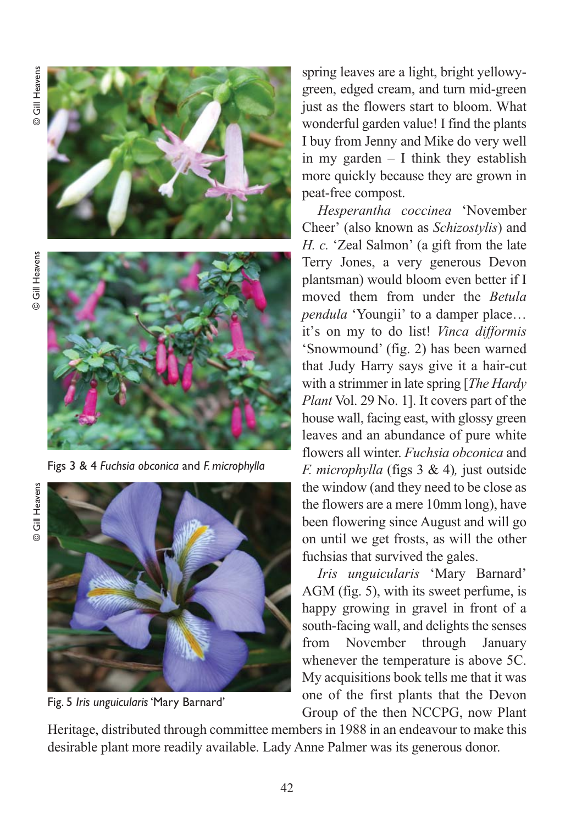**O** Gill Heavens © Gill Heavens

**O** Gill Heavens © Gill Heavens



Figs 3 & 4 *Fuchsia obconica* and *F. microphylla*

© Gill Heavens © Gill Heavens



Fig. 5 *Iris unguicularis*'Mary Barnard'

spring leaves are a light, bright yellowygreen, edged cream, and turn mid-green just as the flowers start to bloom. What wonderful garden value! I find the plants I buy from Jenny and Mike do very well in my garden – I think they establish more quickly because they are grown in peat-free compost.

*Hesperantha coccinea* 'November Cheer' (also known as *Schizostylis*) and *H. c.* 'Zeal Salmon' (a gift from the late Terry Jones, a very generous Devon plantsman) would bloom even better if I moved them from under the *Betula pendula* 'Youngii' to a damper place… it's on my to do list! *Vinca difformis* 'Snowmound' (fig. 2) has been warned that Judy Harry says give it a hair-cut with a strimmer in late spring [*The Hardy Plant* Vol. 29 No. 1]. It covers part of the house wall, facing east, with glossy green leaves and an abundance of pure white flowers all winter. *Fuchsia obconica* and *F. microphylla* (figs 3 & 4)*,* just outside the window (and they need to be close as the flowers are a mere 10mm long), have been flowering since August and will go on until we get frosts, as will the other fuchsias that survived the gales.

*Iris unguicularis* 'Mary Barnard' AGM (fig. 5), with its sweet perfume, is happy growing in gravel in front of a south-facing wall, and delights the senses from November through January whenever the temperature is above 5C. My acquisitions book tells me that it was one of the first plants that the Devon Group of the then NCCPG, now Plant

Heritage, distributed through committee members in 1988 in an endeavour to make this desirable plant more readily available. Lady Anne Palmer was its generous donor.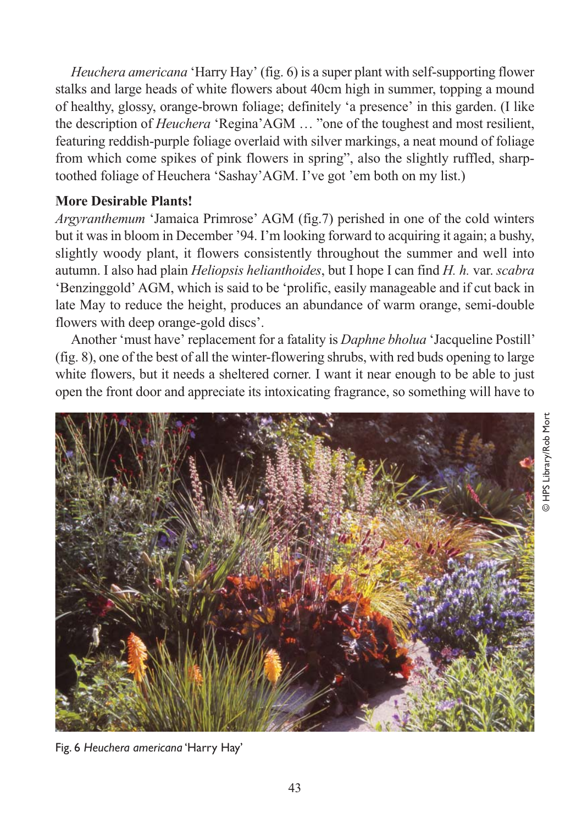*Heuchera americana* 'Harry Hay' (fig. 6) is a super plant with self-supporting flower stalks and large heads of white flowers about 40cm high in summer, topping a mound of healthy, glossy, orange-brown foliage; definitely 'a presence' in this garden. (I like the description of *Heuchera* 'Regina'AGM … "one of the toughest and most resilient, featuring reddish-purple foliage overlaid with silver markings, a neat mound of foliage from which come spikes of pink flowers in spring", also the slightly ruffled, sharptoothed foliage of Heuchera 'Sashay'AGM. I've got 'em both on my list.)

## **More Desirable Plants!**

*Argyranthemum* 'Jamaica Primrose' AGM (fig.7) perished in one of the cold winters but it was in bloom in December '94. I'm looking forward to acquiring it again; a bushy, slightly woody plant, it flowers consistently throughout the summer and well into autumn. I also had plain *Heliopsis helianthoides*, but I hope I can find *H. h.* var. *scabra* 'Benzinggold' AGM, which is said to be 'prolific, easily manageable and if cut back in late May to reduce the height, produces an abundance of warm orange, semi-double flowers with deep orange-gold discs'.

Another 'must have' replacement for a fatality is *Daphne bholua* 'Jacqueline Postill' (fig. 8), one of the best of all the winter-flowering shrubs, with red buds opening to large white flowers, but it needs a sheltered corner. I want it near enough to be able to just open the front door and appreciate its intoxicating fragrance, so something will have to



Fig. 6 *Heuchera americana* 'Harry Hay'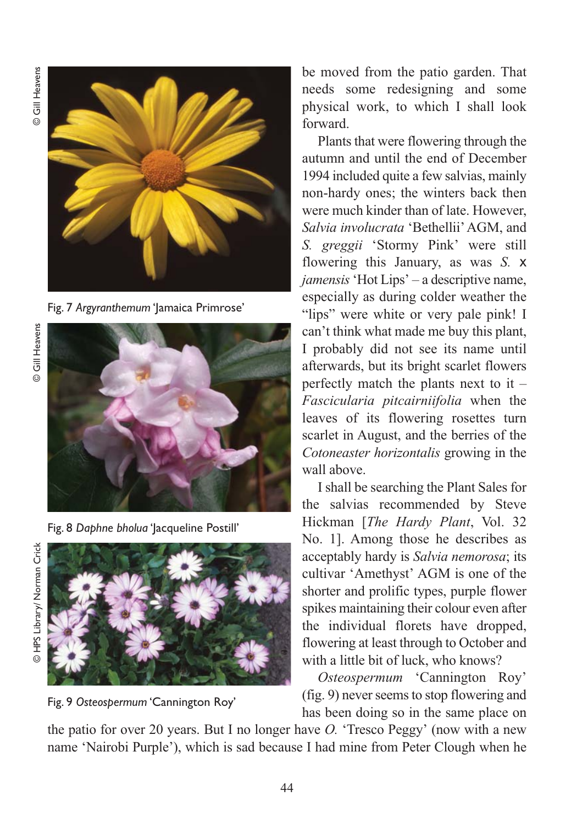**© Gill Heavens** © Gill Heavens



Fig. 7 *Argyranthemum* 'Jamaica Primrose'

© Gill Heavens © Gill Heavens



Fig. 8 *Daphne bholua* 'Jacqueline Postill'







be moved from the patio garden. That needs some redesigning and some physical work, to which I shall look forward.

Plants that were flowering through the autumn and until the end of December 1994 included quite a few salvias, mainly non-hardy ones; the winters back then were much kinder than of late. However, *Salvia involucrata* 'Bethellii' AGM, and *S. greggii* 'Stormy Pink' were still flowering this January, as was *S.* x *jamensis* 'Hot Lips' – a descriptive name, especially as during colder weather the "lips" were white or very pale pink! I can't think what made me buy this plant, I probably did not see its name until afterwards, but its bright scarlet flowers perfectly match the plants next to it – *Fascicularia pitcairniifolia* when the leaves of its flowering rosettes turn scarlet in August, and the berries of the *Cotoneaster horizontalis* growing in the wall above.

I shall be searching the Plant Sales for the salvias recommended by Steve Hickman [*The Hardy Plant*, Vol. 32 No. 1]. Among those he describes as acceptably hardy is *Salvia nemorosa*; its cultivar 'Amethyst' AGM is one of the shorter and prolific types, purple flower spikes maintaining their colour even after the individual florets have dropped, flowering at least through to October and with a little bit of luck, who knows?

*Osteospermum* 'Cannington Roy' (fig. 9) never seems to stop flowering and has been doing so in the same place on

the patio for over 20 years. But I no longer have *O.* 'Tresco Peggy' (now with a new name 'Nairobi Purple'), which is sad because I had mine from Peter Clough when he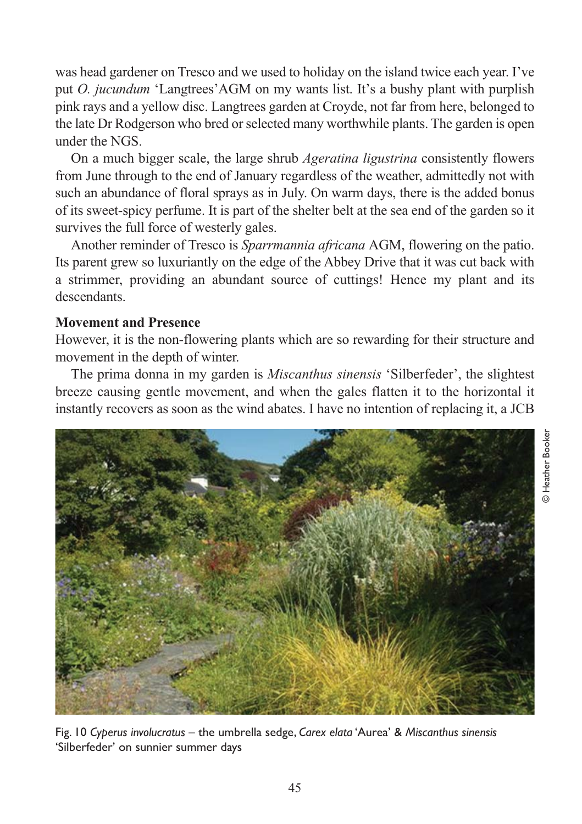was head gardener on Tresco and we used to holiday on the island twice each year. I've put *O. jucundum* 'Langtrees'AGM on my wants list. It's a bushy plant with purplish pink rays and a yellow disc. Langtrees garden at Croyde, not far from here, belonged to the late Dr Rodgerson who bred or selected many worthwhile plants. The garden is open under the NGS.

On a much bigger scale, the large shrub *Ageratina ligustrina* consistently flowers from June through to the end of January regardless of the weather, admittedly not with such an abundance of floral sprays as in July. On warm days, there is the added bonus of its sweet-spicy perfume. It is part of the shelter belt at the sea end of the garden so it survives the full force of westerly gales.

Another reminder of Tresco is *Sparrmannia africana* AGM, flowering on the patio. Its parent grew so luxuriantly on the edge of the Abbey Drive that it was cut back with a strimmer, providing an abundant source of cuttings! Hence my plant and its descendants.

### **Movement and Presence**

However, it is the non-flowering plants which are so rewarding for their structure and movement in the depth of winter.

The prima donna in my garden is *Miscanthus sinensis* 'Silberfeder', the slightest breeze causing gentle movement, and when the gales flatten it to the horizontal it instantly recovers as soon as the wind abates. I have no intention of replacing it, a JCB



Fig. 10 *Cyperus involucratus* – the umbrella sedge, *Carex elata* 'Aurea' & *Miscanthus sinensis* 'Silberfeder' on sunnier summer days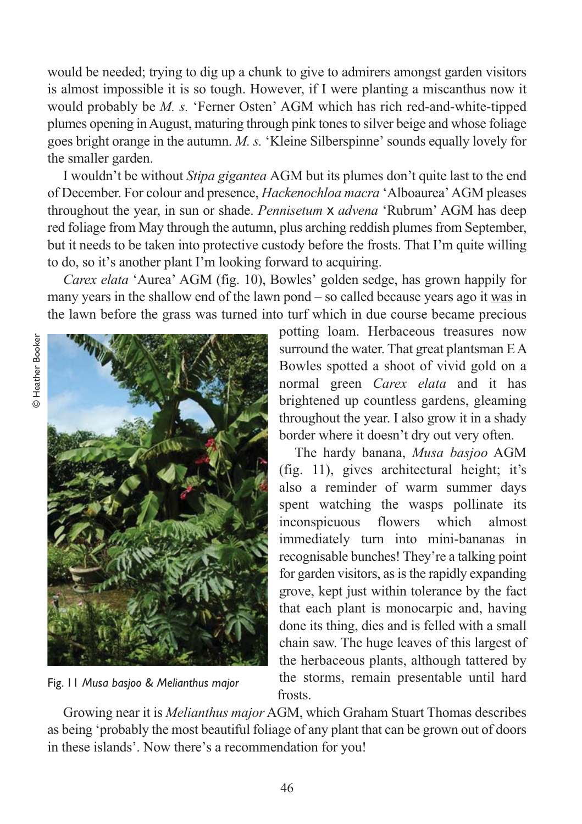would be needed; trying to dig up a chunk to give to admirers amongst garden visitors is almost impossible it is so tough. However, if I were planting a miscanthus now it would probably be *M. s.* 'Ferner Osten' AGM which has rich red-and-white-tipped plumes opening in August, maturing through pink tones to silver beige and whose foliage goes bright orange in the autumn. *M. s.* 'Kleine Silberspinne' sounds equally lovely for the smaller garden.

I wouldn't be without *Stipa gigantea* AGM but its plumes don't quite last to the end of December. For colour and presence, *Hackenochloa macra* 'Alboaurea' AGM pleases throughout the year, in sun or shade. *Pennisetum* x *advena* 'Rubrum' AGM has deep red foliage from May through the autumn, plus arching reddish plumes from September, but it needs to be taken into protective custody before the frosts. That I'm quite willing to do, so it's another plant I'm looking forward to acquiring.

*Carex elata* 'Aurea' AGM (fig. 10), Bowles' golden sedge, has grown happily for many years in the shallow end of the lawn pond – so called because years ago it was in the lawn before the grass was turned into turf which in due course became precious



Fig. 11 *Musa basjoo & Melianthus major* 

potting loam. Herbaceous treasures now surround the water. That great plantsman E A Bowles spotted a shoot of vivid gold on a normal green *Carex elata* and it has brightened up countless gardens, gleaming throughout the year. I also grow it in a shady border where it doesn't dry out very often.

The hardy banana, *Musa basjoo* AGM (fig. 11), gives architectural height; it's also a reminder of warm summer days spent watching the wasps pollinate its inconspicuous flowers which almost immediately turn into mini-bananas in recognisable bunches! They're a talking point for garden visitors, as is the rapidly expanding grove, kept just within tolerance by the fact that each plant is monocarpic and, having done its thing, dies and is felled with a small chain saw. The huge leaves of this largest of the herbaceous plants, although tattered by the storms, remain presentable until hard frosts.

Growing near it is *Melianthus major* AGM, which Graham Stuart Thomas describes as being 'probably the most beautiful foliage of any plant that can be grown out of doors in these islands'. Now there's a recommendation for you!